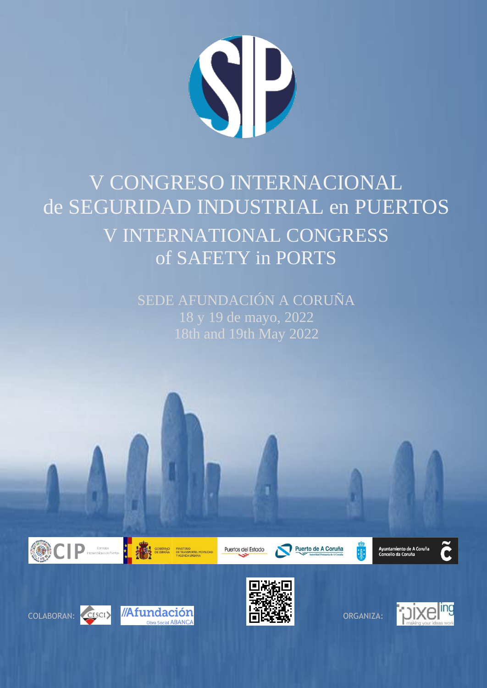

## V CONGRESO INTERNACIONAL de SEGURIDAD INDUSTRIAL en PUERTOS V INTERNATIONAL CONGRESS of SAFETY in PORTS

SEDE AFUNDACIÓN A CORUÑA 18 y 19 de mayo, 2022 18th and 19th May 2022





MINISTERIO<br>DE TRANSPORTES, MOVILIDAI<br>Y AGENDA URBANA

Puertos del Estado

Puerto de A Coruña

Ayuntamiento de A Coruña<br>Concello da Coruña







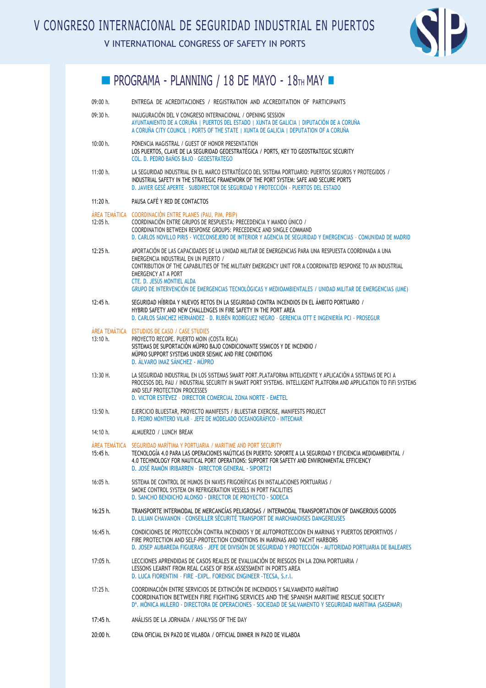V INTERNATIONAL CONGRESS OF SAFETY IN PORTS



## **PROGRAMA - PLANNING / 18 DE MAYO - 18TH MAY -**

| 09:00 h.                  | ENTREGA DE ACREDITACIONES / REGISTRATION AND ACCREDITATION OF PARTICIPANTS                                                                                                                                                                                                                                                                                                                                                             |
|---------------------------|----------------------------------------------------------------------------------------------------------------------------------------------------------------------------------------------------------------------------------------------------------------------------------------------------------------------------------------------------------------------------------------------------------------------------------------|
| 09:30 h.                  | INAUGURACIÓN DEL V CONGRESO INTERNACIONAL / OPENING SESSION<br>AYUNTAMIENTO DE A CORUÑA I PUERTOS DEL ESTADO I XUNTA DE GALICIA I DIPUTACIÓN DE A CORUÑA<br>A CORUÑA CITY COUNCIL   PORTS OF THE STATE   XUNTA DE GALICIA   DEPUTATION OF A CORUÑA                                                                                                                                                                                     |
| 10:00 h.                  | PONENCIA MAGISTRAL / GUEST OF HONOR PRESENTATION<br>LOS PUERTOS, CLAVE DE LA SEGURIDAD GEOESTRATÉGICA / PORTS, KEY TO GEOSTRATEGIC SECURITY<br>COL. D. PEDRO BAÑOS BAJO - GEOESTRATEGO                                                                                                                                                                                                                                                 |
| 11:00 h.                  | LA SEGURIDAD INDUSTRIAL EN EL MARCO ESTRATÉGICO DEL SISTEMA PORTUARIO: PUERTOS SEGUROS Y PROTEGIDOS /<br>INDUSTRIAL SAFETY IN THE STRATEGIC FRAMEWORK OF THE PORT SYSTEM: SAFE AND SECURE PORTS<br>D. JAVIER GESÉ APERTE - SUBDIRECTOR DE SEGURIDAD Y PROTECCIÓN - PUERTOS DEL ESTADO                                                                                                                                                  |
| 11:20 h.                  | PAUSA CAFÉ Y RED DE CONTACTOS                                                                                                                                                                                                                                                                                                                                                                                                          |
| ÁREA TEMÁTICA<br>12:05 h. | COORDINACIÓN ENTRE PLANES (PAU, PIM, PBIP)<br>COORDINACIÓN ENTRE GRUPOS DE RESPUESTA: PRECEDENCIA Y MANDO ÚNICO /<br>COORDINATION BETWEEN RESPONSE GROUPS: PRECEDENCE AND SINGLE COMMAND<br>D. CARLOS NOVILLO PIRIS - VICECONSEJERO DE INTERIOR Y AGENCIA DE SEGURIDAD Y EMERGENCIAS - COMUNIDAD DE MADRID                                                                                                                             |
| 12:25 h.                  | APORTACIÓN DE LAS CAPACIDADES DE LA UNIDAD MILITAR DE EMERGENCIAS PARA UNA RESPUESTA COORDINADA A UNA<br>EMERGENCIA INDUSTRIAL EN UN PUERTO /<br>CONTRIBUTION OF THE CAPABILITIES OF THE MILITARY EMERGENCY UNIT FOR A COORDINATED RESPONSE TO AN INDUSTRIAL<br><b>EMERGENCY AT A PORT</b><br>CTE. D. JESÚS MONTIEL ALDA<br>GRUPO DE INTERVENCIÓN DE EMERGENCIAS TECNOLÓGICAS Y MEDIOAMBIENTALES / UNIDAD MILITAR DE EMERGENCIAS (UME) |
| 12:45 h.                  | SEGURIDAD HÍBRIDA Y NUEVOS RETOS EN LA SEGURIDAD CONTRA INCENDIOS EN EL ÁMBITO PORTUARIO /<br>HYBRID SAFETY AND NEW CHALLENGES IN FIRE SAFETY IN THE PORT AREA<br>D. CARLOS SÁNCHEZ HERNÁNDEZ - D. RUBÉN RODRÍGUEZ NEGRO - GERENCIA OTT E INGENIERÍA PCI - PROSEGUR                                                                                                                                                                    |
| 13:10 h.                  | ÁREA TEMÁTICA ESTUDIOS DE CASO / CASE STUDIES<br>PROYECTO RECOPE. PUERTO MOIN (COSTA RICA)<br>SISTEMAS DE SUPORTACIÓN MÜPRO BAJO CONDICIONANTE SISMICOS Y DE INCENDIO /<br>MÜPRO SUPPORT SYSTEMS UNDER SEISMIC AND FIRE CONDITIONS<br>D. ÁLVARO IMAZ SÁNCHEZ - MÜPRO                                                                                                                                                                   |
| $13:30$ H.                | LA SEGURIDAD INDUSTRIAL EN LOS SISTEMAS SMART PORT. PLATAFORMA INTELIGENTE Y APLICACIÓN A SISTEMAS DE PCI A<br>PROCESOS DEL PAU / INDUSTRIAL SECURITY IN SMART PORT SYSTEMS. INTELLIGENT PLATFORM AND APPLICATION TO FIFI SYSTEMS<br>AND SELF PROTECTION PROCESSES<br>D. VICTOR ESTÉVEZ - DIRECTOR COMERCIAL ZONA NORTE - EMETEL                                                                                                       |
| 13:50 h.                  | EJERCICIO BLUESTAR, PROYECTO MANIFESTS / BLUESTAR EXERCISE, MANIFESTS PROJECT<br>D. PEDRO MONTERO VILAR - JEFE DE MODELADO OCEANOGRÁFICO - INTECMAR                                                                                                                                                                                                                                                                                    |
| 14:10 h.                  | ALMUERZO / LUNCH BREAK                                                                                                                                                                                                                                                                                                                                                                                                                 |
| ÁREA TEMÁTICA<br>15:45 h. | SEGURIDAD MARÍTIMA Y PORTUARIA / MARITIME AND PORT SECURITY<br>TECNOLOGÍA 4.0 PARA LAS OPERACIONES NAÚTICAS EN PUERTO: SOPORTE A LA SEGURIDAD Y EFICIENCIA MEDIOAMBIENTAL /<br>4.0 TECHNOLOGY FOR NAUTICAL PORT OPERATIONS: SUPPORT FOR SAFETY AND ENVIRONMENTAL EFFICIENCY<br>D. JOSÉ RAMÓN IRIBARREN - DIRECTOR GENERAL - SIPORT21                                                                                                   |
| 16:05 h.                  | SISTEMA DE CONTROL DE HUMOS EN NAVES FRIGORÍFICAS EN INSTALACIONES PORTUARIAS /<br>SMOKE CONTROL SYSTEM ON REFRIGERATION VESSELS IN PORT FACILITIES<br>D. SANCHO BENDICHO ALONSO - DIRECTOR DE PROYECTO - SODECA                                                                                                                                                                                                                       |
| 16:25 h.                  | TRANSPORTE INTERMODAL DE MERCANCÍAS PELIGROSAS / INTERMODAL TRANSPORTATION OF DANGEROUS GOODS<br>D. LILIAN CHAVANON - CONSEILLER SÉCURITÉ TRANSPORT DE MARCHANDISES DANGEREUSES                                                                                                                                                                                                                                                        |
| 16:45 h.                  | CONDICIONES DE PROTECCIÓN CONTRA INCENDIOS Y DE AUTOPROTECCION EN MARINAS Y PUERTOS DEPORTIVOS /<br>FIRE PROTECTION AND SELF-PROTECTION CONDITIONS IN MARINAS AND YACHT HARBORS<br>D. JOSEP AUBAREDA FIGUERAS - JEFE DE DIVISIÓN DE SEGURIDAD Y PROTECCIÓN - AUTORIDAD PORTUARIA DE BALEARES                                                                                                                                           |
| 17:05 h.                  | LECCIONES APRENDIDAS DE CASOS REALES DE EVALUACIÓN DE RIESGOS EN LA ZONA PORTUARIA /<br>LESSONS LEARNT FROM REAL CASES OF RISK ASSESSMENT IN PORTS AREA<br>D. LUCA FIORENTINI - FIRE ~ EXPL. FORENSIC ENGINEER - TECSA, S.r.l.                                                                                                                                                                                                         |
| 17:25 h.                  | COORDINACIÓN ENTRE SERVICIOS DE EXTINCIÓN DE INCENDIOS Y SALVAMENTO MARÍTIMO<br>COORDINATION BETWEEN FIRE FIGHTING SERVICES AND THE SPANISH MARITIME RESCUE SOCIETY<br>D <sup>a</sup> , MÓNICA MULERO - DIRECTORA DE OPERACIONES - SOCIEDAD DE SALVAMENTO Y SEGURIDAD MARÍTIMA (SASEMAR)                                                                                                                                               |
| 17:45 h.                  | ANÁLISIS DE LA JORNADA / ANALYSIS OF THE DAY                                                                                                                                                                                                                                                                                                                                                                                           |
| 20:00 h.                  | CENA OFICIAL EN PAZO DE VILABOA / OFFICIAL DINNER IN PAZO DE VILABOA                                                                                                                                                                                                                                                                                                                                                                   |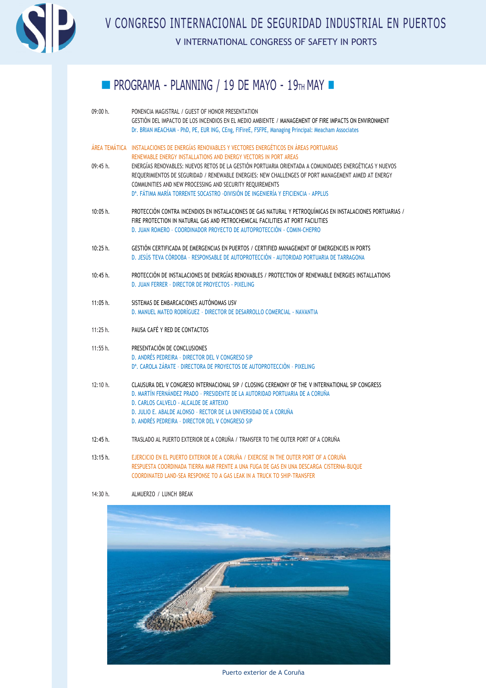

V CONGRESO INTERNACIONAL DE SEGURIDAD INDUSTRIAL EN PUERTOS V INTERNATIONAL CONGRESS OF SAFETY IN PORTS

## $\blacksquare$  PROGRAMA - PLANNING / 19 DE MAYO - 19TH MAY  $\blacksquare$

| 09:00 h. | PONENCIA MAGISTRAL / GUEST OF HONOR PRESENTATION                                                                                                                                                              |
|----------|---------------------------------------------------------------------------------------------------------------------------------------------------------------------------------------------------------------|
|          | GESTIÓN DEL IMPACTO DE LOS INCENDIOS EN EL MEDIO AMBIENTE / MANAGEMENT OF FIRE IMPACTS ON ENVIRONMENT                                                                                                         |
|          | Dr. BRIAN MEACHAM - PhD, PE, EUR ING, CEng, FIFireE, FSFPE, Managing Principal: Meacham Associates                                                                                                            |
|          | ÁREA TEMÁTICA INSTALACIONES DE ENERGÍAS RENOVABLES Y VECTORES ENERGÉTICOS EN ÁREAS PORTUARIAS                                                                                                                 |
|          | RENEWABLE ENERGY INSTALLATIONS AND ENERGY VECTORS IN PORT AREAS                                                                                                                                               |
| 09:45 h. | ENERGÍAS RENOVABLES: NUEVOS RETOS DE LA GESTIÓN PORTUARIA ORIENTADA A COMUNIDADES ENERGÉTICAS Y NUEVOS<br>REOUERIMIENTOS DE SEGURIDAD / RENEWABLE ENERGIES: NEW CHALLENGES OF PORT MANAGEMENT AIMED AT ENERGY |
|          | COMMUNITIES AND NEW PROCESSING AND SECURITY REOUIREMENTS                                                                                                                                                      |
|          | D <sup>a</sup> . FÁTIMA MARÍA TORRENTE SOCASTRO - DIVISIÓN DE INGENIERÍA Y EFICIENCIA - APPLUS                                                                                                                |
| 10:05 h. | PROTECCIÓN CONTRA INCENDIOS EN INSTALACIONES DE GAS NATURAL Y PETROQUÍMICAS EN INSTALACIONES PORTUARIAS /<br>FIRE PROTECTION IN NATURAL GAS AND PETROCHEMICAL FACILITIES AT PORT FACILITIES                   |
|          | D. JUAN ROMERO - COORDINADOR PROYECTO DE AUTOPROTECCIÓN - COMIN-CHEPRO                                                                                                                                        |
| 10:25 h. | GESTIÓN CERTIFICADA DE EMERGENCIAS EN PUERTOS / CERTIFIED MANAGEMENT OF EMERGENCIES IN PORTS                                                                                                                  |
|          | D. JESÚS TEVA CÓRDOBA - RESPONSABLE DE AUTOPROTECCIÓN - AUTORIDAD PORTUARIA DE TARRAGONA                                                                                                                      |
| 10:45 h. | PROTECCIÓN DE INSTALACIONES DE ENERGÍAS RENOVABLES / PROTECTION OF RENEWABLE ENERGIES INSTALLATIONS                                                                                                           |
|          | D. JUAN FERRER - DIRECTOR DE PROYECTOS - PIXELING                                                                                                                                                             |
| 11:05 h. | SISTEMAS DE EMBARCACIONES AUTÓNOMAS USV                                                                                                                                                                       |
|          | D. MANUEL MATEO RODRÍGUEZ - DIRECTOR DE DESARROLLO COMERCIAL - NAVANTIA                                                                                                                                       |
| 11:25 h. | PAUSA CAFÉ Y RED DE CONTACTOS                                                                                                                                                                                 |
| 11:55 h. | PRESENTACIÓN DE CONCLUSIONES                                                                                                                                                                                  |
|          | D. ANDRÉS PEDREIRA - DIRECTOR DEL V CONGRESO SIP                                                                                                                                                              |
|          | D <sup>a</sup> . CAROLA ZÁRATE - DIRECTORA DE PROYECTOS DE AUTOPROTECCIÓN - PIXELING                                                                                                                          |
| 12:10 h. | CLAUSURA DEL V CONGRESO INTERNACIONAL SIP / CLOSING CEREMONY OF THE V INTERNATIONAL SIP CONGRESS                                                                                                              |
|          | D. MARTÍN FERNÁNDEZ PRADO - PRESIDENTE DE LA AUTORIDAD PORTUARIA DE A CORUÑA<br>D. CARLOS CALVELO - ALCALDE DE ARTEIXO                                                                                        |
|          | D. JULIO E. ABALDE ALONSO - RECTOR DE LA UNIVERSIDAD DE A CORUÑA                                                                                                                                              |
|          | D. ANDRÉS PEDREIRA - DIRECTOR DEL V CONGRESO SIP                                                                                                                                                              |
| 12:45 h. | TRASLADO AL PUERTO EXTERIOR DE A CORUÑA / TRANSFER TO THE OUTER PORT OF A CORUÑA                                                                                                                              |
|          |                                                                                                                                                                                                               |

13:15 h. EJERCICIO EN EL PUERTO EXTERIOR DE A CORUÑA / EXERCISE IN THE OUTER PORT OF A CORUÑA RESPUESTA COORDINADA TIERRA MAR FRENTE A UNA FUGA DE GAS EN UNA DESCARGA CISTERNA-BUQUE COORDINATED LAND-SEA RESPONSE TO A GAS LEAK IN A TRUCK TO SHIP-TRANSFER





Puerto exterior de A Coruña